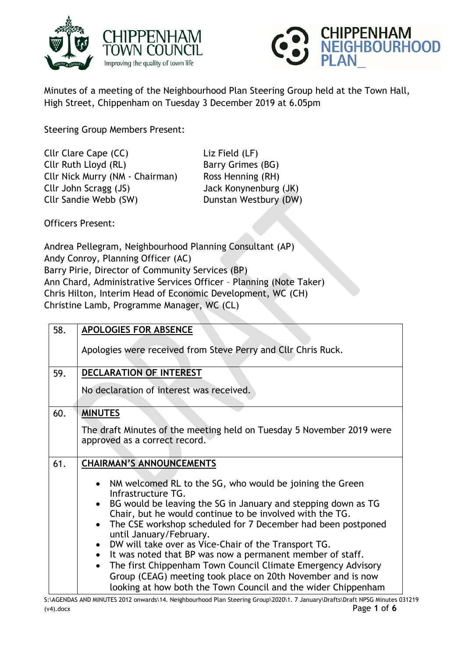



Minutes of a meeting of the Neighbourhood Plan Steering Group held at the Town Hall, High Street, Chippenham on Tuesday 3 December 2019 at 6.05pm

Steering Group Members Present:

Cllr Clare Cape (CC) Liz Field (LF) Cllr Ruth Lloyd (RL) Barry Grimes (BG) Cllr Nick Murry (NM - Chairman) Ross Henning (RH) Cllr John Scragg (JS) Jack Konynenburg (JK) Cllr Sandie Webb (SW) Dunstan Westbury (DW)

Officers Present:

Andrea Pellegram, Neighbourhood Planning Consultant (AP) Andy Conroy, Planning Officer (AC) Barry Pirie, Director of Community Services (BP) Ann Chard, Administrative Services Officer – Planning (Note Taker) Chris Hilton, Interim Head of Economic Development, WC (CH) Christine Lamb, Programme Manager, WC (CL)

| 58. | APOLOGIES FOR ABSENCE                                                                                                                    |
|-----|------------------------------------------------------------------------------------------------------------------------------------------|
|     | Apologies were received from Steve Perry and Cllr Chris Ruck.                                                                            |
| 59. | <b>DECLARATION OF INTEREST</b>                                                                                                           |
|     | No declaration of interest was received.                                                                                                 |
| 60. | <b>MINUTES</b>                                                                                                                           |
|     | The draft Minutes of the meeting held on Tuesday 5 November 2019 were<br>approved as a correct record.                                   |
| 61. | <b>CHAIRMAN'S ANNOUNCEMENTS</b>                                                                                                          |
|     | NM welcomed RL to the SG, who would be joining the Green<br>$\bullet$                                                                    |
|     | Infrastructure TG.                                                                                                                       |
|     | BG would be leaving the SG in January and stepping down as TG<br>$\bullet$<br>Chair, but he would continue to be involved with the TG.   |
|     | The CSE workshop scheduled for 7 December had been postponed<br>$\bullet$<br>until January/February.                                     |
|     | DW will take over as Vice-Chair of the Transport TG.<br>$\bullet$                                                                        |
|     | It was noted that BP was now a permanent member of staff.<br>$\bullet$                                                                   |
|     |                                                                                                                                          |
|     | The first Chippenham Town Council Climate Emergency Advisory<br>$\bullet$<br>Group (CEAG) meeting took place on 20th November and is now |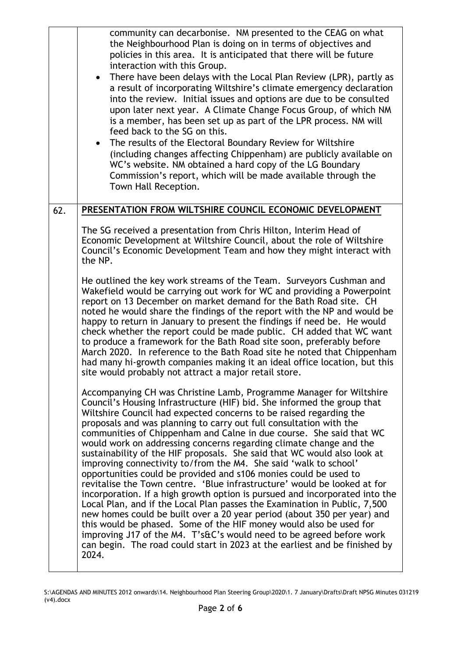|     | community can decarbonise. NM presented to the CEAG on what<br>the Neighbourhood Plan is doing on in terms of objectives and<br>policies in this area. It is anticipated that there will be future<br>interaction with this Group.<br>There have been delays with the Local Plan Review (LPR), partly as<br>a result of incorporating Wiltshire's climate emergency declaration<br>into the review. Initial issues and options are due to be consulted<br>upon later next year. A Climate Change Focus Group, of which NM<br>is a member, has been set up as part of the LPR process. NM will<br>feed back to the SG on this.<br>The results of the Electoral Boundary Review for Wiltshire<br>(including changes affecting Chippenham) are publicly available on<br>WC's website. NM obtained a hard copy of the LG Boundary<br>Commission's report, which will be made available through the<br>Town Hall Reception.                                                                                                                                                                                                                                                                                              |
|-----|---------------------------------------------------------------------------------------------------------------------------------------------------------------------------------------------------------------------------------------------------------------------------------------------------------------------------------------------------------------------------------------------------------------------------------------------------------------------------------------------------------------------------------------------------------------------------------------------------------------------------------------------------------------------------------------------------------------------------------------------------------------------------------------------------------------------------------------------------------------------------------------------------------------------------------------------------------------------------------------------------------------------------------------------------------------------------------------------------------------------------------------------------------------------------------------------------------------------|
| 62. | PRESENTATION FROM WILTSHIRE COUNCIL ECONOMIC DEVELOPMENT                                                                                                                                                                                                                                                                                                                                                                                                                                                                                                                                                                                                                                                                                                                                                                                                                                                                                                                                                                                                                                                                                                                                                            |
|     | The SG received a presentation from Chris Hilton, Interim Head of<br>Economic Development at Wiltshire Council, about the role of Wiltshire<br>Council's Economic Development Team and how they might interact with<br>the NP.                                                                                                                                                                                                                                                                                                                                                                                                                                                                                                                                                                                                                                                                                                                                                                                                                                                                                                                                                                                      |
|     | He outlined the key work streams of the Team. Surveyors Cushman and<br>Wakefield would be carrying out work for WC and providing a Powerpoint<br>report on 13 December on market demand for the Bath Road site. CH<br>noted he would share the findings of the report with the NP and would be<br>happy to return in January to present the findings if need be. He would<br>check whether the report could be made public. CH added that WC want<br>to produce a framework for the Bath Road site soon, preferably before<br>March 2020. In reference to the Bath Road site he noted that Chippenham<br>had many hi-growth companies making it an ideal office location, but this<br>site would probably not attract a major retail store.                                                                                                                                                                                                                                                                                                                                                                                                                                                                         |
|     | Accompanying CH was Christine Lamb, Programme Manager for Wiltshire<br>Council's Housing Infrastructure (HIF) bid. She informed the group that<br>Wiltshire Council had expected concerns to be raised regarding the<br>proposals and was planning to carry out full consultation with the<br>communities of Chippenham and Calne in due course. She said that WC<br>would work on addressing concerns regarding climate change and the<br>sustainability of the HIF proposals. She said that WC would also look at<br>improving connectivity to/from the M4. She said 'walk to school'<br>opportunities could be provided and s106 monies could be used to<br>revitalise the Town centre. 'Blue infrastructure' would be looked at for<br>incorporation. If a high growth option is pursued and incorporated into the<br>Local Plan, and if the Local Plan passes the Examination in Public, 7,500<br>new homes could be built over a 20 year period (about 350 per year) and<br>this would be phased. Some of the HIF money would also be used for<br>improving J17 of the M4. T's&C's would need to be agreed before work<br>can begin. The road could start in 2023 at the earliest and be finished by<br>2024. |

S:\AGENDAS AND MINUTES 2012 onwards\14. Neighbourhood Plan Steering Group\2020\1. 7 January\Drafts\Draft NPSG Minutes 031219 (v4).docx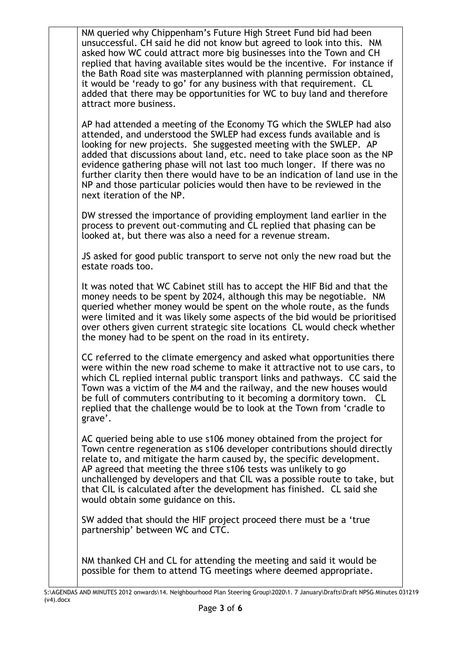| NM queried why Chippenham's Future High Street Fund bid had been<br>unsuccessful. CH said he did not know but agreed to look into this. NM<br>asked how WC could attract more big businesses into the Town and CH<br>replied that having available sites would be the incentive. For instance if<br>the Bath Road site was masterplanned with planning permission obtained,<br>it would be 'ready to go' for any business with that requirement. CL<br>added that there may be opportunities for WC to buy land and therefore<br>attract more business.           |
|-------------------------------------------------------------------------------------------------------------------------------------------------------------------------------------------------------------------------------------------------------------------------------------------------------------------------------------------------------------------------------------------------------------------------------------------------------------------------------------------------------------------------------------------------------------------|
| AP had attended a meeting of the Economy TG which the SWLEP had also<br>attended, and understood the SWLEP had excess funds available and is<br>looking for new projects. She suggested meeting with the SWLEP. AP<br>added that discussions about land, etc. need to take place soon as the NP<br>evidence gathering phase will not last too much longer. If there was no<br>further clarity then there would have to be an indication of land use in the<br>NP and those particular policies would then have to be reviewed in the<br>next iteration of the NP. |
| DW stressed the importance of providing employment land earlier in the<br>process to prevent out-commuting and CL replied that phasing can be<br>looked at, but there was also a need for a revenue stream.                                                                                                                                                                                                                                                                                                                                                       |
| JS asked for good public transport to serve not only the new road but the<br>estate roads too.                                                                                                                                                                                                                                                                                                                                                                                                                                                                    |
| It was noted that WC Cabinet still has to accept the HIF Bid and that the<br>money needs to be spent by 2024, although this may be negotiable. NM<br>queried whether money would be spent on the whole route, as the funds<br>were limited and it was likely some aspects of the bid would be prioritised<br>over others given current strategic site locations CL would check whether<br>the money had to be spent on the road in its entirety.                                                                                                                  |
| CC referred to the climate emergency and asked what opportunities there<br>were within the new road scheme to make it attractive not to use cars, to<br>which CL replied internal public transport links and pathways. CC said the<br>Town was a victim of the M4 and the railway, and the new houses would<br>be full of commuters contributing to it becoming a dormitory town. CL<br>replied that the challenge would be to look at the Town from 'cradle to<br>grave'.                                                                                        |
| AC queried being able to use s106 money obtained from the project for<br>Town centre regeneration as s106 developer contributions should directly<br>relate to, and mitigate the harm caused by, the specific development.<br>AP agreed that meeting the three s106 tests was unlikely to go<br>unchallenged by developers and that CIL was a possible route to take, but<br>that CIL is calculated after the development has finished. CL said she<br>would obtain some guidance on this.                                                                        |
| SW added that should the HIF project proceed there must be a 'true<br>partnership' between WC and CTC.                                                                                                                                                                                                                                                                                                                                                                                                                                                            |
| NM thanked CH and CL for attending the meeting and said it would be                                                                                                                                                                                                                                                                                                                                                                                                                                                                                               |

S:\AGENDAS AND MINUTES 2012 onwards\14. Neighbourhood Plan Steering Group\2020\1. 7 January\Drafts\Draft NPSG Minutes 031219 (v4).docx

possible for them to attend TG meetings where deemed appropriate.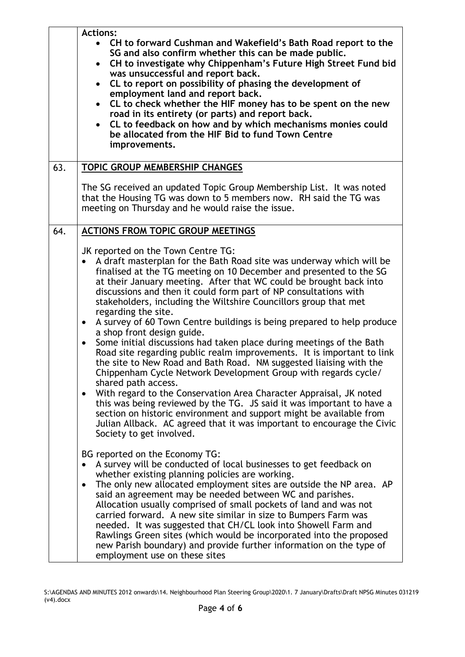|     | <b>Actions:</b><br>CH to forward Cushman and Wakefield's Bath Road report to the<br>SG and also confirm whether this can be made public.<br>CH to investigate why Chippenham's Future High Street Fund bid<br>$\bullet$<br>was unsuccessful and report back.<br>CL to report on possibility of phasing the development of<br>$\bullet$<br>employment land and report back.<br>CL to check whether the HIF money has to be spent on the new<br>$\bullet$<br>road in its entirety (or parts) and report back.<br>CL to feedback on how and by which mechanisms monies could<br>$\bullet$<br>be allocated from the HIF Bid to fund Town Centre<br>improvements.                                                                                                                                                                                                                                                                                                                                                                                                                                                                                                                                                                   |
|-----|--------------------------------------------------------------------------------------------------------------------------------------------------------------------------------------------------------------------------------------------------------------------------------------------------------------------------------------------------------------------------------------------------------------------------------------------------------------------------------------------------------------------------------------------------------------------------------------------------------------------------------------------------------------------------------------------------------------------------------------------------------------------------------------------------------------------------------------------------------------------------------------------------------------------------------------------------------------------------------------------------------------------------------------------------------------------------------------------------------------------------------------------------------------------------------------------------------------------------------|
| 63. | <b>TOPIC GROUP MEMBERSHIP CHANGES</b>                                                                                                                                                                                                                                                                                                                                                                                                                                                                                                                                                                                                                                                                                                                                                                                                                                                                                                                                                                                                                                                                                                                                                                                          |
|     | The SG received an updated Topic Group Membership List. It was noted<br>that the Housing TG was down to 5 members now. RH said the TG was<br>meeting on Thursday and he would raise the issue.                                                                                                                                                                                                                                                                                                                                                                                                                                                                                                                                                                                                                                                                                                                                                                                                                                                                                                                                                                                                                                 |
| 64. | <b>ACTIONS FROM TOPIC GROUP MEETINGS</b>                                                                                                                                                                                                                                                                                                                                                                                                                                                                                                                                                                                                                                                                                                                                                                                                                                                                                                                                                                                                                                                                                                                                                                                       |
|     | JK reported on the Town Centre TG:<br>A draft masterplan for the Bath Road site was underway which will be<br>$\bullet$<br>finalised at the TG meeting on 10 December and presented to the SG<br>at their January meeting. After that WC could be brought back into<br>discussions and then it could form part of NP consultations with<br>stakeholders, including the Wiltshire Councillors group that met<br>regarding the site.<br>A survey of 60 Town Centre buildings is being prepared to help produce<br>$\bullet$<br>a shop front design guide.<br>Some initial discussions had taken place during meetings of the Bath<br>$\bullet$<br>Road site regarding public realm improvements. It is important to link<br>the site to New Road and Bath Road. NM suggested liaising with the<br>Chippenham Cycle Network Development Group with regards cycle/<br>shared path access.<br>With regard to the Conservation Area Character Appraisal, JK noted<br>$\bullet$<br>this was being reviewed by the TG. JS said it was important to have a<br>section on historic environment and support might be available from<br>Julian Allback. AC agreed that it was important to encourage the Civic<br>Society to get involved. |
|     | BG reported on the Economy TG:<br>A survey will be conducted of local businesses to get feedback on<br>whether existing planning policies are working.<br>The only new allocated employment sites are outside the NP area. AP<br>$\bullet$<br>said an agreement may be needed between WC and parishes.<br>Allocation usually comprised of small pockets of land and was not<br>carried forward. A new site similar in size to Bumpers Farm was<br>needed. It was suggested that CH/CL look into Showell Farm and<br>Rawlings Green sites (which would be incorporated into the proposed<br>new Parish boundary) and provide further information on the type of<br>employment use on these sites                                                                                                                                                                                                                                                                                                                                                                                                                                                                                                                                |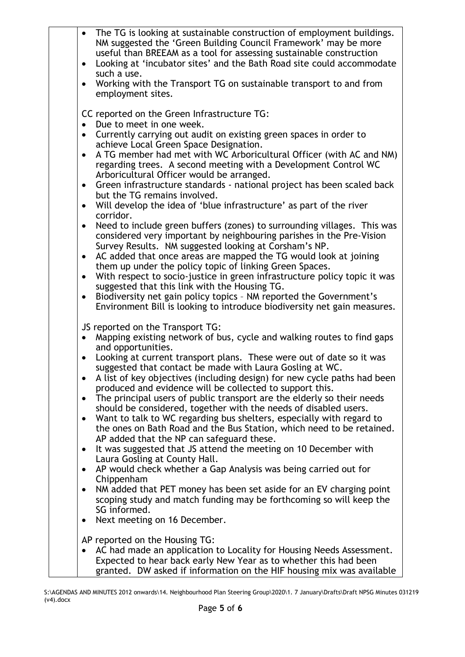| The TG is looking at sustainable construction of employment buildings.<br>$\bullet$<br>NM suggested the 'Green Building Council Framework' may be more<br>useful than BREEAM as a tool for assessing sustainable construction<br>Looking at 'incubator sites' and the Bath Road site could accommodate<br>$\bullet$<br>such a use.<br>Working with the Transport TG on sustainable transport to and from<br>$\bullet$<br>employment sites.                                                                                                                                                                                                                                                                                                                                                                                                                                                                                                                                                                                                                                                                                                                                                                                                                                                                     |
|----------------------------------------------------------------------------------------------------------------------------------------------------------------------------------------------------------------------------------------------------------------------------------------------------------------------------------------------------------------------------------------------------------------------------------------------------------------------------------------------------------------------------------------------------------------------------------------------------------------------------------------------------------------------------------------------------------------------------------------------------------------------------------------------------------------------------------------------------------------------------------------------------------------------------------------------------------------------------------------------------------------------------------------------------------------------------------------------------------------------------------------------------------------------------------------------------------------------------------------------------------------------------------------------------------------|
| CC reported on the Green Infrastructure TG:<br>Due to meet in one week.<br>Currently carrying out audit on existing green spaces in order to<br>$\bullet$<br>achieve Local Green Space Designation.<br>A TG member had met with WC Arboricultural Officer (with AC and NM)<br>$\bullet$<br>regarding trees. A second meeting with a Development Control WC<br>Arboricultural Officer would be arranged.<br>Green infrastructure standards - national project has been scaled back<br>$\bullet$<br>but the TG remains involved.<br>Will develop the idea of 'blue infrastructure' as part of the river<br>$\bullet$<br>corridor.<br>Need to include green buffers (zones) to surrounding villages. This was<br>$\bullet$<br>considered very important by neighbouring parishes in the Pre-Vision<br>Survey Results. NM suggested looking at Corsham's NP.<br>AC added that once areas are mapped the TG would look at joining<br>$\bullet$<br>them up under the policy topic of linking Green Spaces.<br>With respect to socio-justice in green infrastructure policy topic it was<br>$\bullet$<br>suggested that this link with the Housing TG.<br>Biodiversity net gain policy topics - NM reported the Government's<br>$\bullet$<br>Environment Bill is looking to introduce biodiversity net gain measures. |
| JS reported on the Transport TG:<br>Mapping existing network of bus, cycle and walking routes to find gaps<br>$\bullet$<br>and opportunities.<br>Looking at current transport plans. These were out of date so it was<br>suggested that contact be made with Laura Gosling at WC.<br>A list of key objectives (including design) for new cycle paths had been<br>$\bullet$<br>produced and evidence will be collected to support this.<br>The principal users of public transport are the elderly so their needs<br>$\bullet$<br>should be considered, together with the needs of disabled users.<br>Want to talk to WC regarding bus shelters, especially with regard to<br>the ones on Bath Road and the Bus Station, which need to be retained.<br>AP added that the NP can safeguard these.<br>It was suggested that JS attend the meeting on 10 December with<br>$\bullet$<br>Laura Gosling at County Hall.<br>AP would check whether a Gap Analysis was being carried out for<br>$\bullet$<br>Chippenham<br>NM added that PET money has been set aside for an EV charging point<br>٠<br>scoping study and match funding may be forthcoming so will keep the<br>SG informed.<br>Next meeting on 16 December.                                                                                              |
| AP reported on the Housing TG:<br>AC had made an application to Locality for Housing Needs Assessment.<br>$\bullet$<br>Expected to hear back early New Year as to whether this had been<br>granted. DW asked if information on the HIF housing mix was available                                                                                                                                                                                                                                                                                                                                                                                                                                                                                                                                                                                                                                                                                                                                                                                                                                                                                                                                                                                                                                               |